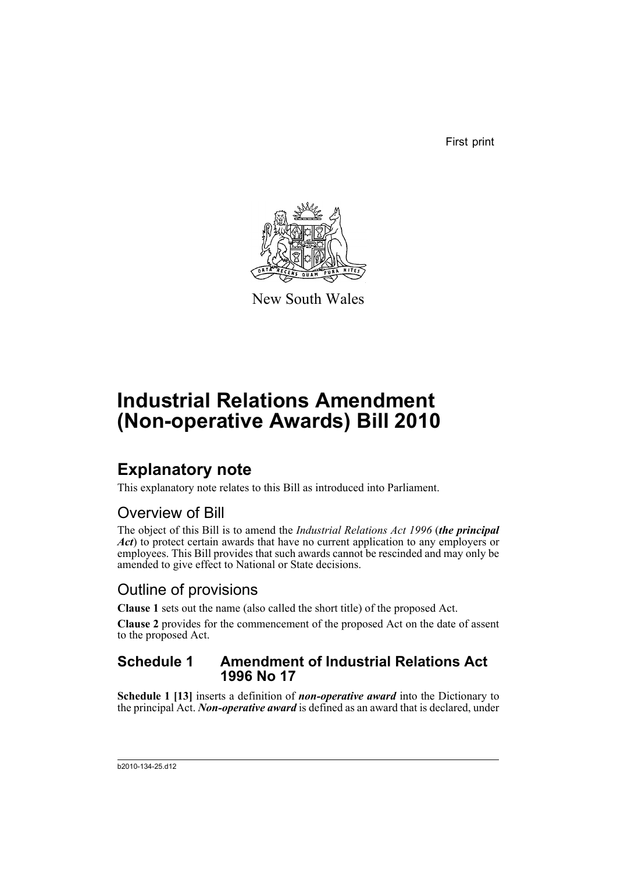First print



New South Wales

# **Industrial Relations Amendment (Non-operative Awards) Bill 2010**

## **Explanatory note**

This explanatory note relates to this Bill as introduced into Parliament.

### Overview of Bill

The object of this Bill is to amend the *Industrial Relations Act 1996* (*the principal Act*) to protect certain awards that have no current application to any employers or employees. This Bill provides that such awards cannot be rescinded and may only be amended to give effect to National or State decisions.

### Outline of provisions

**Clause 1** sets out the name (also called the short title) of the proposed Act.

**Clause 2** provides for the commencement of the proposed Act on the date of assent to the proposed Act.

#### **Schedule 1 Amendment of Industrial Relations Act 1996 No 17**

**Schedule 1 [13]** inserts a definition of *non-operative award* into the Dictionary to the principal Act. *Non-operative award* is defined as an award that is declared, under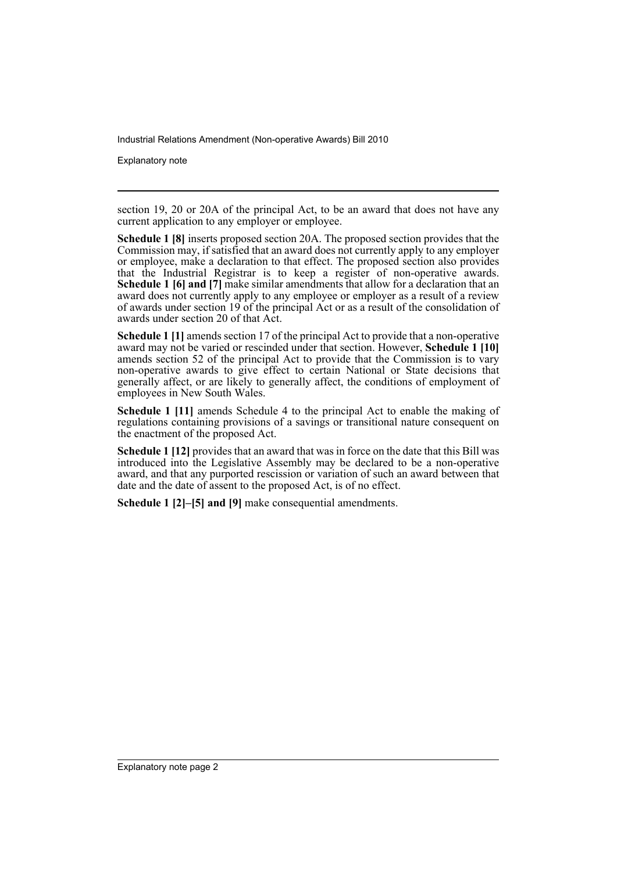Explanatory note

section 19, 20 or 20A of the principal Act, to be an award that does not have any current application to any employer or employee.

**Schedule 1 [8]** inserts proposed section 20A. The proposed section provides that the Commission may, if satisfied that an award does not currently apply to any employer or employee, make a declaration to that effect. The proposed section also provides that the Industrial Registrar is to keep a register of non-operative awards. **Schedule 1 [6] and [7]** make similar amendments that allow for a declaration that an award does not currently apply to any employee or employer as a result of a review of awards under section 19 of the principal Act or as a result of the consolidation of awards under section 20 of that Act.

**Schedule 1 [1]** amends section 17 of the principal Act to provide that a non-operative award may not be varied or rescinded under that section. However, **Schedule 1 [10]** amends section 52 of the principal Act to provide that the Commission is to vary non-operative awards to give effect to certain National or State decisions that generally affect, or are likely to generally affect, the conditions of employment of employees in New South Wales.

**Schedule 1 [11]** amends Schedule 4 to the principal Act to enable the making of regulations containing provisions of a savings or transitional nature consequent on the enactment of the proposed Act.

**Schedule 1 [12]** provides that an award that was in force on the date that this Bill was introduced into the Legislative Assembly may be declared to be a non-operative award, and that any purported rescission or variation of such an award between that date and the date of assent to the proposed Act, is of no effect.

**Schedule 1 [2]–[5] and [9]** make consequential amendments.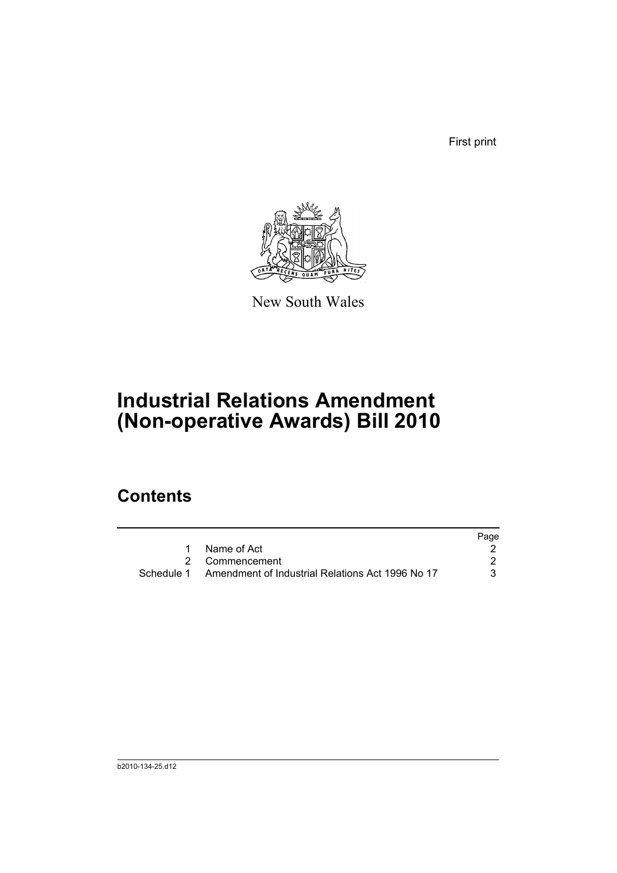First print



New South Wales

# **Industrial Relations Amendment (Non-operative Awards) Bill 2010**

## **Contents**

|                                                             | Page |
|-------------------------------------------------------------|------|
| Name of Act                                                 |      |
| 2 Commencement                                              |      |
| Schedule 1 Amendment of Industrial Relations Act 1996 No 17 | 3.   |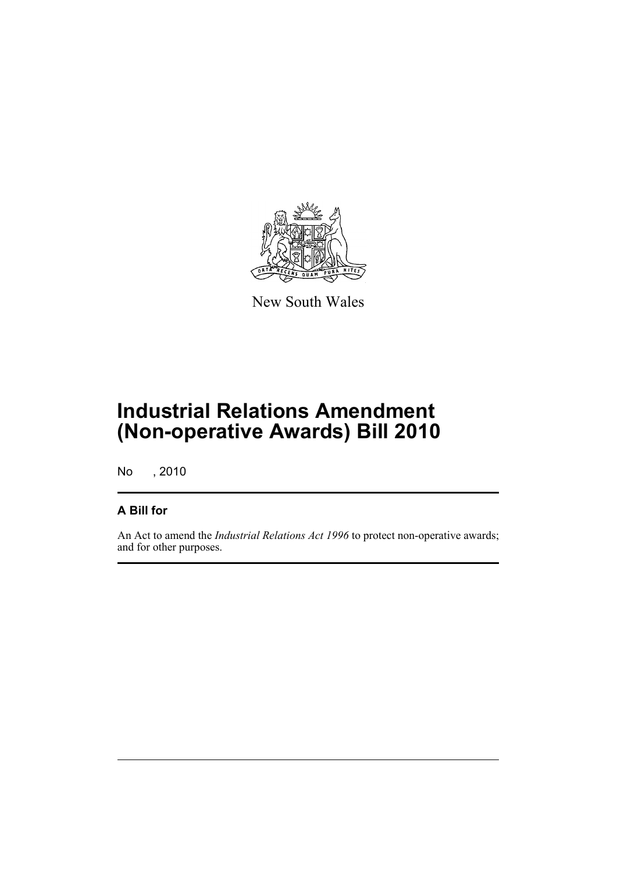

New South Wales

## **Industrial Relations Amendment (Non-operative Awards) Bill 2010**

No , 2010

#### **A Bill for**

An Act to amend the *Industrial Relations Act 1996* to protect non-operative awards; and for other purposes.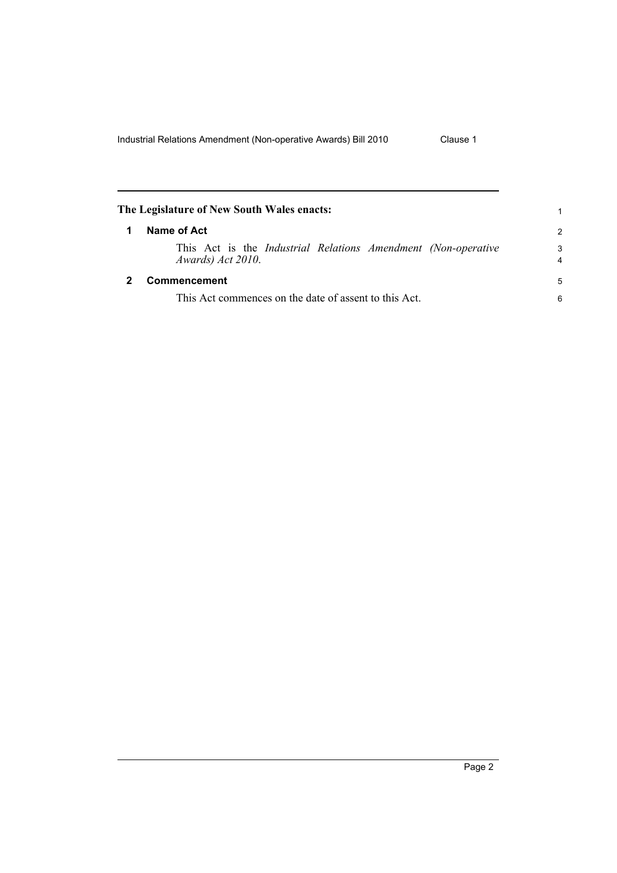<span id="page-5-1"></span><span id="page-5-0"></span>

| The Legislature of New South Wales enacts: |                                                                                             | 1                            |
|--------------------------------------------|---------------------------------------------------------------------------------------------|------------------------------|
| 1                                          | Name of Act                                                                                 | $\mathcal{P}$                |
|                                            | This Act is the <i>Industrial Relations Amendment (Non-operative</i> )<br>Awards) Act 2010. | 3<br>$\overline{\mathbf{4}}$ |
|                                            | Commencement                                                                                | 5                            |
|                                            | This Act commences on the date of assent to this Act.                                       |                              |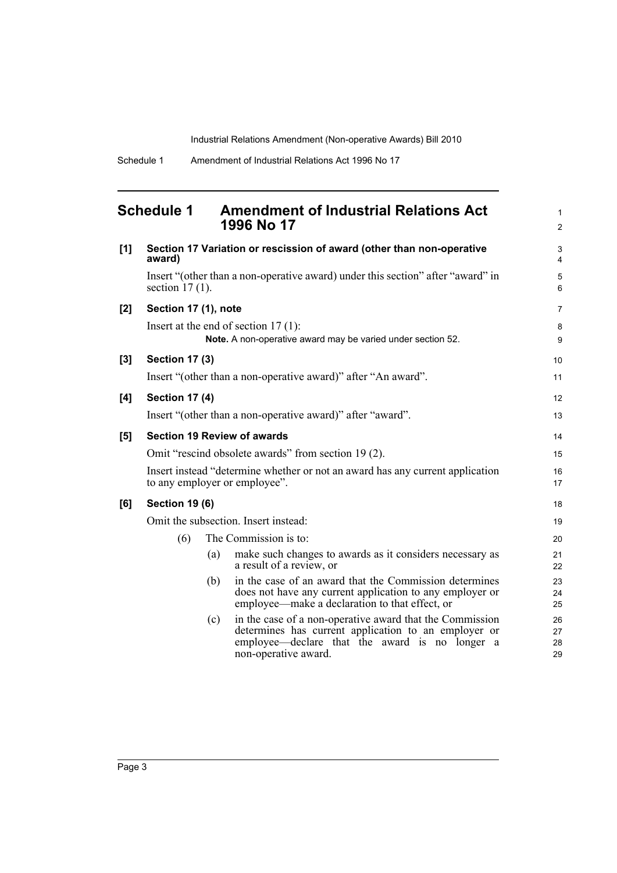1 2

#### <span id="page-6-0"></span>**Schedule 1 Amendment of Industrial Relations Act 1996 No 17**

| [1] | Section 17 Variation or rescission of award (other than non-operative<br>award) |     |                                                                                                                                                                                            |                      |  |
|-----|---------------------------------------------------------------------------------|-----|--------------------------------------------------------------------------------------------------------------------------------------------------------------------------------------------|----------------------|--|
|     | section $17(1)$ .                                                               |     | Insert "(other than a non-operative award) under this section" after "award" in                                                                                                            | 5<br>6               |  |
| [2] | Section 17 (1), note                                                            |     |                                                                                                                                                                                            | $\overline{7}$       |  |
|     |                                                                                 |     | Insert at the end of section $17(1)$ :<br>Note. A non-operative award may be varied under section 52.                                                                                      | 8<br>9               |  |
| [3] | <b>Section 17 (3)</b>                                                           |     |                                                                                                                                                                                            | 10                   |  |
|     |                                                                                 |     | Insert "(other than a non-operative award)" after "An award".                                                                                                                              | 11                   |  |
| [4] | <b>Section 17 (4)</b>                                                           |     |                                                                                                                                                                                            | 12                   |  |
|     |                                                                                 |     | Insert "(other than a non-operative award)" after "award".                                                                                                                                 | 13                   |  |
| [5] |                                                                                 |     | <b>Section 19 Review of awards</b>                                                                                                                                                         | 14                   |  |
|     |                                                                                 |     | Omit "rescind obsolete awards" from section 19 (2).                                                                                                                                        | 15                   |  |
|     |                                                                                 |     | Insert instead "determine whether or not an award has any current application<br>to any employer or employee".                                                                             | 16<br>17             |  |
| [6] | <b>Section 19 (6)</b>                                                           |     |                                                                                                                                                                                            | 18                   |  |
|     | Omit the subsection. Insert instead:                                            |     |                                                                                                                                                                                            |                      |  |
|     | (6)                                                                             |     | The Commission is to:                                                                                                                                                                      | 20                   |  |
|     |                                                                                 | (a) | make such changes to awards as it considers necessary as<br>a result of a review, or                                                                                                       | 21<br>22             |  |
|     |                                                                                 | (b) | in the case of an award that the Commission determines<br>does not have any current application to any employer or<br>employee—make a declaration to that effect, or                       | 23<br>24<br>25       |  |
|     |                                                                                 | (c) | in the case of a non-operative award that the Commission<br>determines has current application to an employer or<br>employee—declare that the award is no longer a<br>non-operative award. | 26<br>27<br>28<br>29 |  |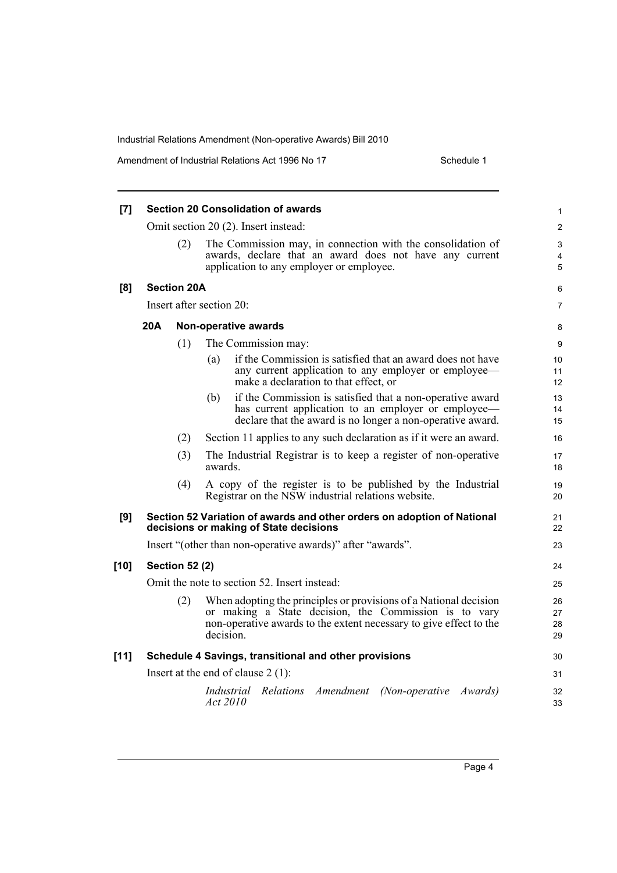Amendment of Industrial Relations Act 1996 No 17 Schedule 1

| [7]    |                                                                                                                   |                       | <b>Section 20 Consolidation of awards</b>                                                                                                                                                                     | 1                    |
|--------|-------------------------------------------------------------------------------------------------------------------|-----------------------|---------------------------------------------------------------------------------------------------------------------------------------------------------------------------------------------------------------|----------------------|
|        |                                                                                                                   |                       | Omit section 20 (2). Insert instead:                                                                                                                                                                          | $\overline{c}$       |
|        |                                                                                                                   | (2)                   | The Commission may, in connection with the consolidation of<br>awards, declare that an award does not have any current<br>application to any employer or employee.                                            | 3<br>4<br>5          |
| [8]    |                                                                                                                   | <b>Section 20A</b>    |                                                                                                                                                                                                               | 6                    |
|        | Insert after section 20:                                                                                          |                       |                                                                                                                                                                                                               |                      |
|        | 20A<br>Non-operative awards                                                                                       |                       |                                                                                                                                                                                                               | 8                    |
|        |                                                                                                                   | (1)                   | The Commission may:                                                                                                                                                                                           | 9                    |
|        |                                                                                                                   |                       | if the Commission is satisfied that an award does not have<br>(a)<br>any current application to any employer or employee—<br>make a declaration to that effect, or                                            | 10<br>11<br>12       |
|        |                                                                                                                   |                       | if the Commission is satisfied that a non-operative award<br>(b)<br>has current application to an employer or employee—<br>declare that the award is no longer a non-operative award.                         | 13<br>14<br>15       |
|        |                                                                                                                   | (2)                   | Section 11 applies to any such declaration as if it were an award.                                                                                                                                            | 16                   |
|        |                                                                                                                   | (3)                   | The Industrial Registrar is to keep a register of non-operative<br>awards.                                                                                                                                    | 17<br>18             |
|        |                                                                                                                   | (4)                   | A copy of the register is to be published by the Industrial<br>Registrar on the NSW industrial relations website.                                                                                             | 19<br>20             |
| [9]    | Section 52 Variation of awards and other orders on adoption of National<br>decisions or making of State decisions |                       |                                                                                                                                                                                                               | 21<br>22             |
|        |                                                                                                                   |                       | Insert "(other than non-operative awards)" after "awards".                                                                                                                                                    | 23                   |
| $[10]$ |                                                                                                                   | <b>Section 52 (2)</b> |                                                                                                                                                                                                               | 24                   |
|        | Omit the note to section 52. Insert instead:                                                                      |                       |                                                                                                                                                                                                               |                      |
|        |                                                                                                                   | (2)                   | When adopting the principles or provisions of a National decision<br>or making a State decision, the Commission is to vary<br>non-operative awards to the extent necessary to give effect to the<br>decision. | 26<br>27<br>28<br>29 |
| $[11]$ | Schedule 4 Savings, transitional and other provisions                                                             |                       |                                                                                                                                                                                                               | 30                   |
|        | Insert at the end of clause $2(1)$ :                                                                              |                       |                                                                                                                                                                                                               | 31                   |
|        |                                                                                                                   |                       | Industrial Relations Amendment (Non-operative Awards)<br>Act 2010                                                                                                                                             | 32<br>33             |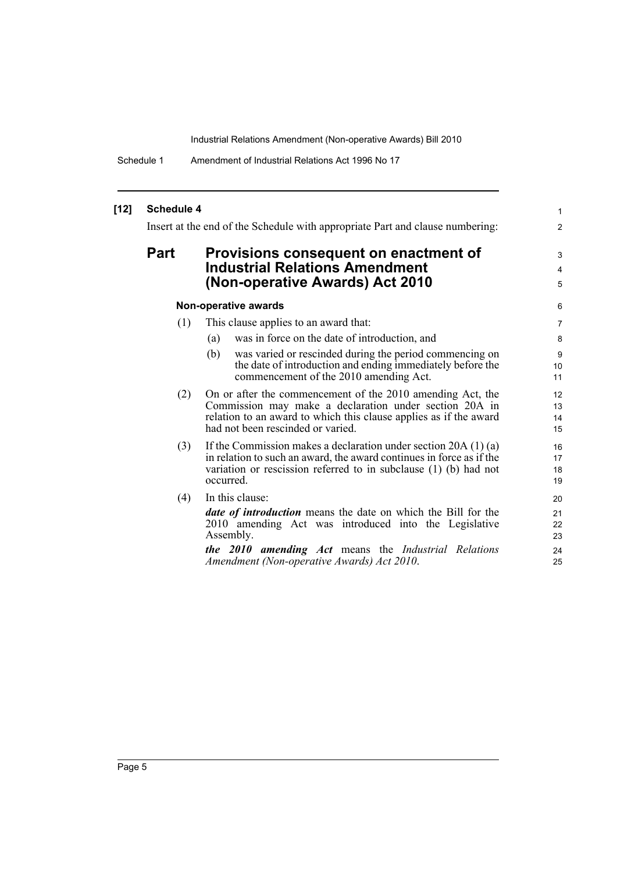Schedule 1 Amendment of Industrial Relations Act 1996 No 17

| $[12]$ | <b>Schedule 4</b><br>Insert at the end of the Schedule with appropriate Part and clause numbering: |                                                                                                                                                                                                                                                                                                                                                                                                                                                                                                           |                                                 |
|--------|----------------------------------------------------------------------------------------------------|-----------------------------------------------------------------------------------------------------------------------------------------------------------------------------------------------------------------------------------------------------------------------------------------------------------------------------------------------------------------------------------------------------------------------------------------------------------------------------------------------------------|-------------------------------------------------|
|        | <b>Part</b>                                                                                        | Provisions consequent on enactment of<br><b>Industrial Relations Amendment</b><br>(Non-operative Awards) Act 2010                                                                                                                                                                                                                                                                                                                                                                                         | $\overline{2}$<br>3<br>4<br>5                   |
|        |                                                                                                    | Non-operative awards                                                                                                                                                                                                                                                                                                                                                                                                                                                                                      | 6                                               |
|        | (1)<br>(2)                                                                                         | This clause applies to an award that:<br>was in force on the date of introduction, and<br>(a)<br>was varied or rescinded during the period commencing on<br>(b)<br>the date of introduction and ending immediately before the<br>commencement of the 2010 amending Act.<br>On or after the commencement of the 2010 amending Act, the<br>Commission may make a declaration under section 20A in<br>relation to an award to which this clause applies as if the award<br>had not been rescinded or varied. | 7<br>8<br>9<br>10<br>11<br>12<br>13<br>14<br>15 |
|        | (3)                                                                                                | If the Commission makes a declaration under section $20A(1)(a)$<br>in relation to such an award, the award continues in force as if the<br>variation or rescission referred to in subclause $(1)$ (b) had not<br>occurred.                                                                                                                                                                                                                                                                                | 16<br>17<br>18<br>19                            |
|        | (4)                                                                                                | In this clause:<br><i>date of introduction</i> means the date on which the Bill for the<br>2010 amending Act was introduced into the Legislative<br>Assembly.<br><b>the 2010 amending Act</b> means the <i>Industrial Relations</i><br>Amendment (Non-operative Awards) Act 2010.                                                                                                                                                                                                                         | 20<br>21<br>22<br>23<br>24<br>25                |